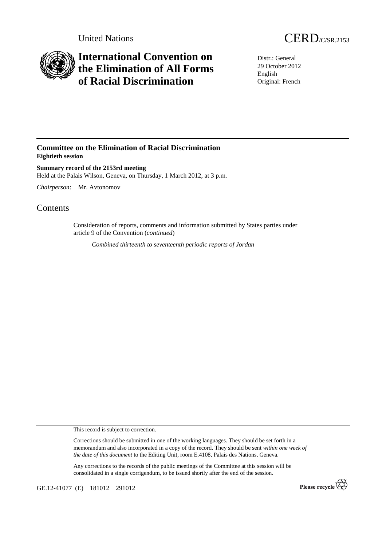

## **International Convention on the Elimination of All Forms of Racial Discrimination**

Distr.: General 29 October 2012 English Original: French

## **Committee on the Elimination of Racial Discrimination Eightieth session**

**Summary record of the 2153rd meeting**  Held at the Palais Wilson, Geneva, on Thursday, 1 March 2012, at 3 p.m.

*Chairperson*: Mr. Avtonomov

## **Contents**

Consideration of reports, comments and information submitted by States parties under article 9 of the Convention (*continued*)

*Combined thirteenth to seventeenth periodic reports of Jordan* 

This record is subject to correction.

Corrections should be submitted in one of the working languages. They should be set forth in a memorandum and also incorporated in a copy of the record. They should be sent *within one week of the date of this document* to the Editing Unit, room E.4108, Palais des Nations, Geneva.

Any corrections to the records of the public meetings of the Committee at this session will be consolidated in a single corrigendum, to be issued shortly after the end of the session.

GE.12-41077 (E) 181012 291012

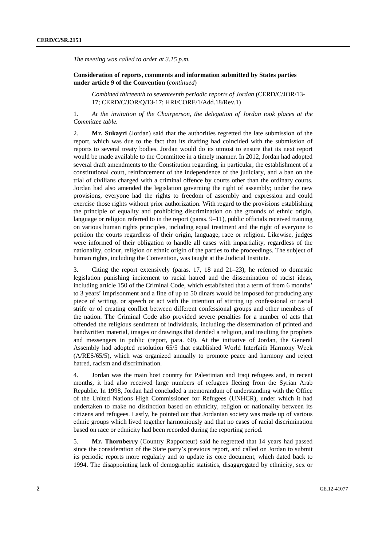*The meeting was called to order at 3.15 p.m.* 

 **Consideration of reports, comments and information submitted by States parties under article 9 of the Convention** (*continued*)

*Combined thirteenth to seventeenth periodic reports of Jordan* (CERD/C/JOR/13- 17; CERD/C/JOR/Q/13-17; HRI/CORE/1/Add.18/Rev.1)

1. *At the invitation of the Chairperson, the delegation of Jordan took places at the Committee table.*

2. **Mr. Sukayri** (Jordan) said that the authorities regretted the late submission of the report, which was due to the fact that its drafting had coincided with the submission of reports to several treaty bodies. Jordan would do its utmost to ensure that its next report would be made available to the Committee in a timely manner. In 2012, Jordan had adopted several draft amendments to the Constitution regarding, in particular, the establishment of a constitutional court, reinforcement of the independence of the judiciary, and a ban on the trial of civilians charged with a criminal offence by courts other than the ordinary courts. Jordan had also amended the legislation governing the right of assembly; under the new provisions, everyone had the rights to freedom of assembly and expression and could exercise those rights without prior authorization. With regard to the provisions establishing the principle of equality and prohibiting discrimination on the grounds of ethnic origin, language or religion referred to in the report (paras. 9–11), public officials received training on various human rights principles, including equal treatment and the right of everyone to petition the courts regardless of their origin, language, race or religion. Likewise, judges were informed of their obligation to handle all cases with impartiality, regardless of the nationality, colour, religion or ethnic origin of the parties to the proceedings. The subject of human rights, including the Convention, was taught at the Judicial Institute.

3. Citing the report extensively (paras. 17, 18 and 21–23), he referred to domestic legislation punishing incitement to racial hatred and the dissemination of racist ideas, including article 150 of the Criminal Code, which established that a term of from 6 months' to 3 years' imprisonment and a fine of up to 50 dinars would be imposed for producing any piece of writing, or speech or act with the intention of stirring up confessional or racial strife or of creating conflict between different confessional groups and other members of the nation. The Criminal Code also provided severe penalties for a number of acts that offended the religious sentiment of individuals, including the dissemination of printed and handwritten material, images or drawings that derided a religion, and insulting the prophets and messengers in public (report, para. 60). At the initiative of Jordan, the General Assembly had adopted resolution 65/5 that established World Interfaith Harmony Week (A/RES/65/5), which was organized annually to promote peace and harmony and reject hatred, racism and discrimination.

4. Jordan was the main host country for Palestinian and Iraqi refugees and, in recent months, it had also received large numbers of refugees fleeing from the Syrian Arab Republic. In 1998, Jordan had concluded a memorandum of understanding with the Office of the United Nations High Commissioner for Refugees (UNHCR), under which it had undertaken to make no distinction based on ethnicity, religion or nationality between its citizens and refugees. Lastly, he pointed out that Jordanian society was made up of various ethnic groups which lived together harmoniously and that no cases of racial discrimination based on race or ethnicity had been recorded during the reporting period.

5. **Mr. Thornberry** (Country Rapporteur) said he regretted that 14 years had passed since the consideration of the State party's previous report, and called on Jordan to submit its periodic reports more regularly and to update its core document, which dated back to 1994. The disappointing lack of demographic statistics, disaggregated by ethnicity, sex or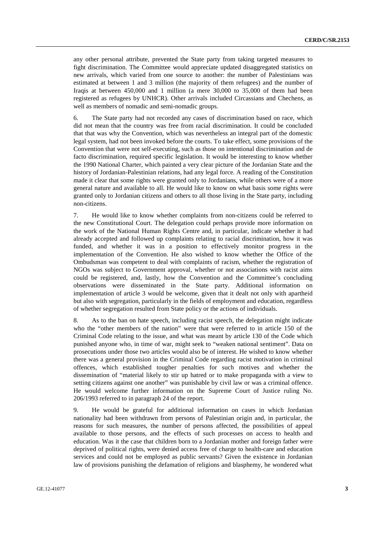any other personal attribute, prevented the State party from taking targeted measures to fight discrimination. The Committee would appreciate updated disaggregated statistics on new arrivals, which varied from one source to another: the number of Palestinians was estimated at between 1 and 3 million (the majority of them refugees) and the number of Iraqis at between 450,000 and 1 million (a mere 30,000 to 35,000 of them had been registered as refugees by UNHCR). Other arrivals included Circassians and Chechens, as well as members of nomadic and semi-nomadic groups.

6. The State party had not recorded any cases of discrimination based on race, which did not mean that the country was free from racial discrimination. It could be concluded that that was why the Convention, which was nevertheless an integral part of the domestic legal system, had not been invoked before the courts. To take effect, some provisions of the Convention that were not self-executing, such as those on intentional discrimination and de facto discrimination, required specific legislation. It would be interesting to know whether the 1990 National Charter, which painted a very clear picture of the Jordanian State and the history of Jordanian-Palestinian relations, had any legal force. A reading of the Constitution made it clear that some rights were granted only to Jordanians, while others were of a more general nature and available to all. He would like to know on what basis some rights were granted only to Jordanian citizens and others to all those living in the State party, including non-citizens.

7. He would like to know whether complaints from non-citizens could be referred to the new Constitutional Court. The delegation could perhaps provide more information on the work of the National Human Rights Centre and, in particular, indicate whether it had already accepted and followed up complaints relating to racial discrimination, how it was funded, and whether it was in a position to effectively monitor progress in the implementation of the Convention. He also wished to know whether the Office of the Ombudsman was competent to deal with complaints of racism, whether the registration of NGOs was subject to Government approval, whether or not associations with racist aims could be registered, and, lastly, how the Convention and the Committee's concluding observations were disseminated in the State party. Additional information on implementation of article 3 would be welcome, given that it dealt not only with apartheid but also with segregation, particularly in the fields of employment and education, regardless of whether segregation resulted from State policy or the actions of individuals.

8. As to the ban on hate speech, including racist speech, the delegation might indicate who the "other members of the nation" were that were referred to in article 150 of the Criminal Code relating to the issue, and what was meant by article 130 of the Code which punished anyone who, in time of war, might seek to "weaken national sentiment". Data on prosecutions under those two articles would also be of interest. He wished to know whether there was a general provision in the Criminal Code regarding racist motivation in criminal offences, which established tougher penalties for such motives and whether the dissemination of "material likely to stir up hatred or to make propaganda with a view to setting citizens against one another" was punishable by civil law or was a criminal offence. He would welcome further information on the Supreme Court of Justice ruling No. 206/1993 referred to in paragraph 24 of the report.

9. He would be grateful for additional information on cases in which Jordanian nationality had been withdrawn from persons of Palestinian origin and, in particular, the reasons for such measures, the number of persons affected, the possibilities of appeal available to those persons, and the effects of such processes on access to health and education. Was it the case that children born to a Jordanian mother and foreign father were deprived of political rights, were denied access free of charge to health-care and education services and could not be employed as public servants? Given the existence in Jordanian law of provisions punishing the defamation of religions and blasphemy, he wondered what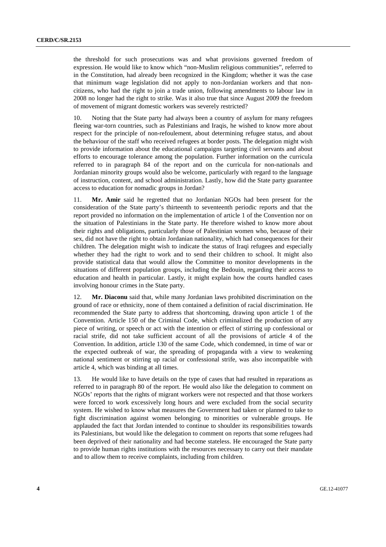the threshold for such prosecutions was and what provisions governed freedom of expression. He would like to know which "non-Muslim religious communities", referred to in the Constitution, had already been recognized in the Kingdom; whether it was the case that minimum wage legislation did not apply to non-Jordanian workers and that noncitizens, who had the right to join a trade union, following amendments to labour law in 2008 no longer had the right to strike. Was it also true that since August 2009 the freedom of movement of migrant domestic workers was severely restricted?

10. Noting that the State party had always been a country of asylum for many refugees fleeing war-torn countries, such as Palestinians and Iraqis, he wished to know more about respect for the principle of non-refoulement, about determining refugee status, and about the behaviour of the staff who received refugees at border posts. The delegation might wish to provide information about the educational campaigns targeting civil servants and about efforts to encourage tolerance among the population. Further information on the curricula referred to in paragraph 84 of the report and on the curricula for non-nationals and Jordanian minority groups would also be welcome, particularly with regard to the language of instruction, content, and school administration. Lastly, how did the State party guarantee access to education for nomadic groups in Jordan?

11. **Mr. Amir** said he regretted that no Jordanian NGOs had been present for the consideration of the State party's thirteenth to seventeenth periodic reports and that the report provided no information on the implementation of article 1 of the Convention nor on the situation of Palestinians in the State party. He therefore wished to know more about their rights and obligations, particularly those of Palestinian women who, because of their sex, did not have the right to obtain Jordanian nationality, which had consequences for their children. The delegation might wish to indicate the status of Iraqi refugees and especially whether they had the right to work and to send their children to school. It might also provide statistical data that would allow the Committee to monitor developments in the situations of different population groups, including the Bedouin, regarding their access to education and health in particular. Lastly, it might explain how the courts handled cases involving honour crimes in the State party.

12. **Mr. Diaconu** said that, while many Jordanian laws prohibited discrimination on the ground of race or ethnicity, none of them contained a definition of racial discrimination. He recommended the State party to address that shortcoming, drawing upon article 1 of the Convention. Article 150 of the Criminal Code, which criminalized the production of any piece of writing, or speech or act with the intention or effect of stirring up confessional or racial strife, did not take sufficient account of all the provisions of article 4 of the Convention. In addition, article 130 of the same Code, which condemned, in time of war or the expected outbreak of war, the spreading of propaganda with a view to weakening national sentiment or stirring up racial or confessional strife, was also incompatible with article 4, which was binding at all times.

13. He would like to have details on the type of cases that had resulted in reparations as referred to in paragraph 80 of the report. He would also like the delegation to comment on NGOs' reports that the rights of migrant workers were not respected and that those workers were forced to work excessively long hours and were excluded from the social security system. He wished to know what measures the Government had taken or planned to take to fight discrimination against women belonging to minorities or vulnerable groups. He applauded the fact that Jordan intended to continue to shoulder its responsibilities towards its Palestinians, but would like the delegation to comment on reports that some refugees had been deprived of their nationality and had become stateless. He encouraged the State party to provide human rights institutions with the resources necessary to carry out their mandate and to allow them to receive complaints, including from children.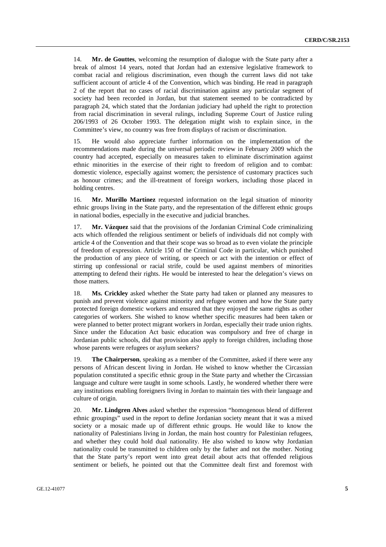14. **Mr. de Gouttes**, welcoming the resumption of dialogue with the State party after a break of almost 14 years, noted that Jordan had an extensive legislative framework to combat racial and religious discrimination, even though the current laws did not take sufficient account of article 4 of the Convention, which was binding. He read in paragraph 2 of the report that no cases of racial discrimination against any particular segment of society had been recorded in Jordan, but that statement seemed to be contradicted by paragraph 24, which stated that the Jordanian judiciary had upheld the right to protection from racial discrimination in several rulings, including Supreme Court of Justice ruling 206/1993 of 26 October 1993. The delegation might wish to explain since, in the Committee's view, no country was free from displays of racism or discrimination.

15. He would also appreciate further information on the implementation of the recommendations made during the universal periodic review in February 2009 which the country had accepted, especially on measures taken to eliminate discrimination against ethnic minorities in the exercise of their right to freedom of religion and to combat: domestic violence, especially against women; the persistence of customary practices such as honour crimes; and the ill-treatment of foreign workers, including those placed in holding centres.

16. **Mr. Murillo Martínez** requested information on the legal situation of minority ethnic groups living in the State party, and the representation of the different ethnic groups in national bodies, especially in the executive and judicial branches.

17. **Mr. Vázquez** said that the provisions of the Jordanian Criminal Code criminalizing acts which offended the religious sentiment or beliefs of individuals did not comply with article 4 of the Convention and that their scope was so broad as to even violate the principle of freedom of expression. Article 150 of the Criminal Code in particular, which punished the production of any piece of writing, or speech or act with the intention or effect of stirring up confessional or racial strife, could be used against members of minorities attempting to defend their rights. He would be interested to hear the delegation's views on those matters.

18. **Ms. Crickley** asked whether the State party had taken or planned any measures to punish and prevent violence against minority and refugee women and how the State party protected foreign domestic workers and ensured that they enjoyed the same rights as other categories of workers. She wished to know whether specific measures had been taken or were planned to better protect migrant workers in Jordan, especially their trade union rights. Since under the Education Act basic education was compulsory and free of charge in Jordanian public schools, did that provision also apply to foreign children, including those whose parents were refugees or asylum seekers?

19. **The Chairperson**, speaking as a member of the Committee, asked if there were any persons of African descent living in Jordan. He wished to know whether the Circassian population constituted a specific ethnic group in the State party and whether the Circassian language and culture were taught in some schools. Lastly, he wondered whether there were any institutions enabling foreigners living in Jordan to maintain ties with their language and culture of origin.

20. **Mr. Lindgren Alves** asked whether the expression "homogenous blend of different ethnic groupings" used in the report to define Jordanian society meant that it was a mixed society or a mosaic made up of different ethnic groups. He would like to know the nationality of Palestinians living in Jordan, the main host country for Palestinian refugees, and whether they could hold dual nationality. He also wished to know why Jordanian nationality could be transmitted to children only by the father and not the mother. Noting that the State party's report went into great detail about acts that offended religious sentiment or beliefs, he pointed out that the Committee dealt first and foremost with